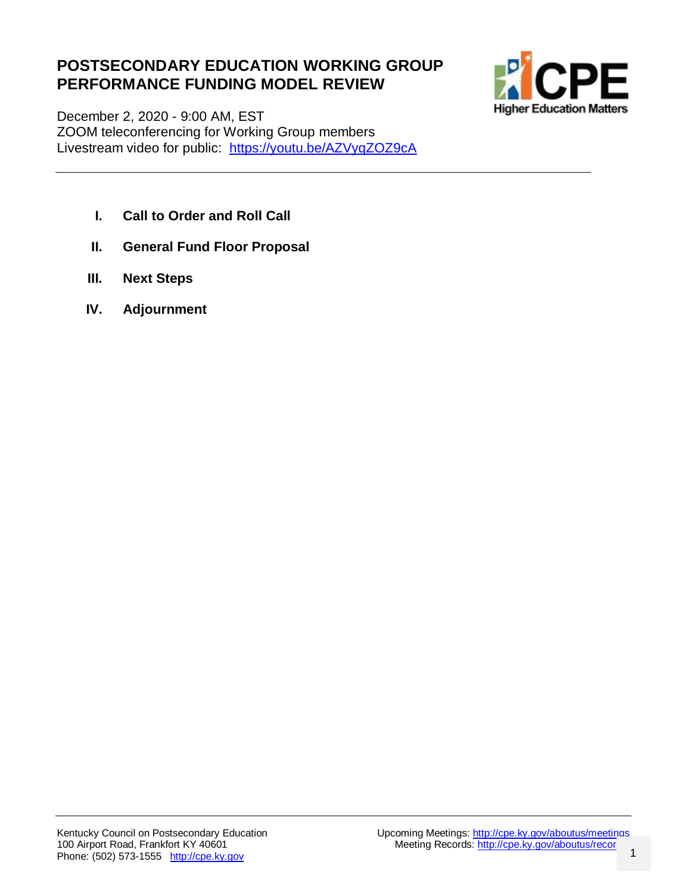## **POSTSECONDARY EDUCATION WORKING GROUP PERFORMANCE FUNDING MODEL REVIEW**



December 2, 2020 - 9:00 AM, EST ZOOM teleconferencing for Working Group members Livestream video for public: <https://youtu.be/AZVyqZOZ9cA>

- **I. Call to Order and Roll Call**
- **II. General Fund Floor Proposal**
- **III. Next Steps**
- **IV. Adjournment**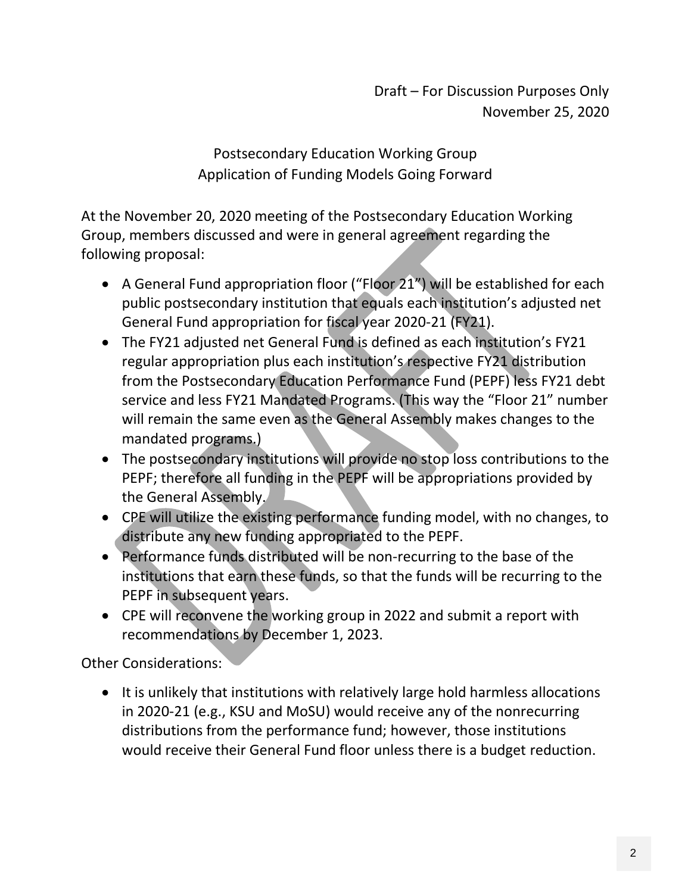Draft – For Discussion Purposes Only November 25, 2020

Postsecondary Education Working Group Application of Funding Models Going Forward

At the November 20, 2020 meeting of the Postsecondary Education Working Group, members discussed and were in general agreement regarding the following proposal:

- A General Fund appropriation floor ("Floor 21") will be established for each public postsecondary institution that equals each institution's adjusted net General Fund appropriation for fiscal year 2020-21 (FY21).
- The FY21 adjusted net General Fund is defined as each institution's FY21 regular appropriation plus each institution's respective FY21 distribution from the Postsecondary Education Performance Fund (PEPF) less FY21 debt service and less FY21 Mandated Programs. (This way the "Floor 21" number will remain the same even as the General Assembly makes changes to the mandated programs.)
- The postsecondary institutions will provide no stop loss contributions to the PEPF; therefore all funding in the PEPF will be appropriations provided by the General Assembly.
- CPE will utilize the existing performance funding model, with no changes, to distribute any new funding appropriated to the PEPF.
- Performance funds distributed will be non-recurring to the base of the institutions that earn these funds, so that the funds will be recurring to the PEPF in subsequent years.
- CPE will reconvene the working group in 2022 and submit a report with recommendations by December 1, 2023.

Other Considerations:

• It is unlikely that institutions with relatively large hold harmless allocations in 2020-21 (e.g., KSU and MoSU) would receive any of the nonrecurring distributions from the performance fund; however, those institutions would receive their General Fund floor unless there is a budget reduction.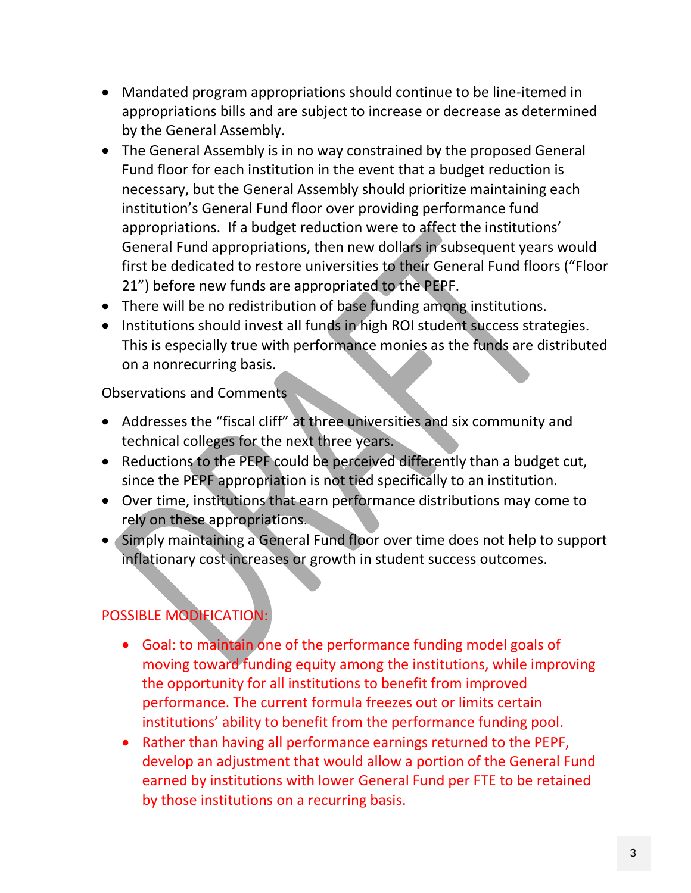- Mandated program appropriations should continue to be line-itemed in appropriations bills and are subject to increase or decrease as determined by the General Assembly.
- The General Assembly is in no way constrained by the proposed General Fund floor for each institution in the event that a budget reduction is necessary, but the General Assembly should prioritize maintaining each institution's General Fund floor over providing performance fund appropriations. If a budget reduction were to affect the institutions' General Fund appropriations, then new dollars in subsequent years would first be dedicated to restore universities to their General Fund floors ("Floor 21") before new funds are appropriated to the PEPF.
- There will be no redistribution of base funding among institutions.
- Institutions should invest all funds in high ROI student success strategies. This is especially true with performance monies as the funds are distributed on a nonrecurring basis.

Observations and Comments

- Addresses the "fiscal cliff" at three universities and six community and technical colleges for the next three years.
- Reductions to the PEPF could be perceived differently than a budget cut, since the PEPF appropriation is not tied specifically to an institution.
- Over time, institutions that earn performance distributions may come to rely on these appropriations.
- Simply maintaining a General Fund floor over time does not help to support inflationary cost increases or growth in student success outcomes.

# POSSIBLE MODIFICATION:

- Goal: to maintain one of the performance funding model goals of moving toward funding equity among the institutions, while improving the opportunity for all institutions to benefit from improved performance. The current formula freezes out or limits certain institutions' ability to benefit from the performance funding pool.
- Rather than having all performance earnings returned to the PEPF, develop an adjustment that would allow a portion of the General Fund earned by institutions with lower General Fund per FTE to be retained by those institutions on a recurring basis.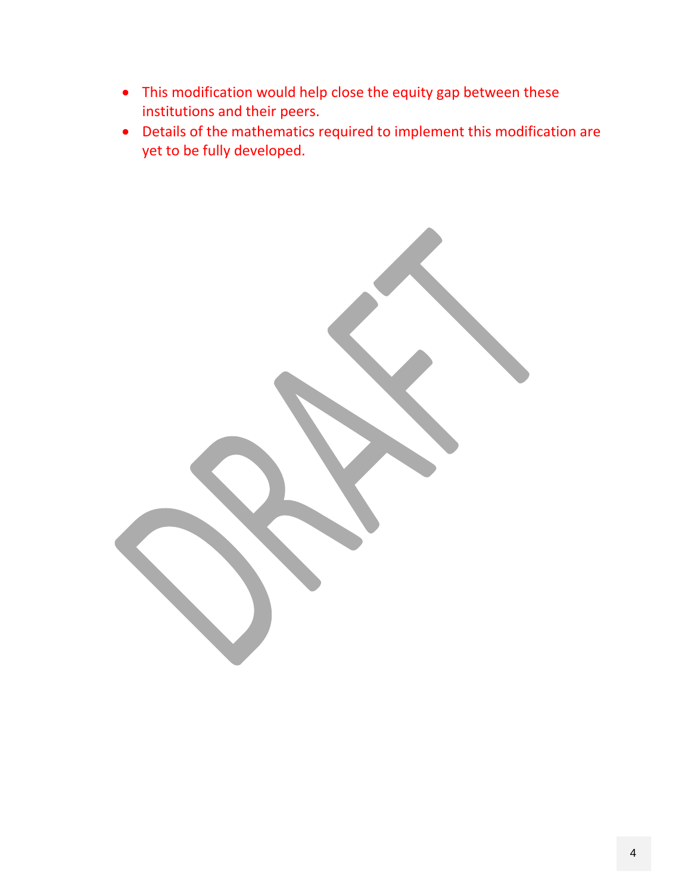- This modification would help close the equity gap between these institutions and their peers.
- Details of the mathematics required to implement this modification are yet to be fully developed.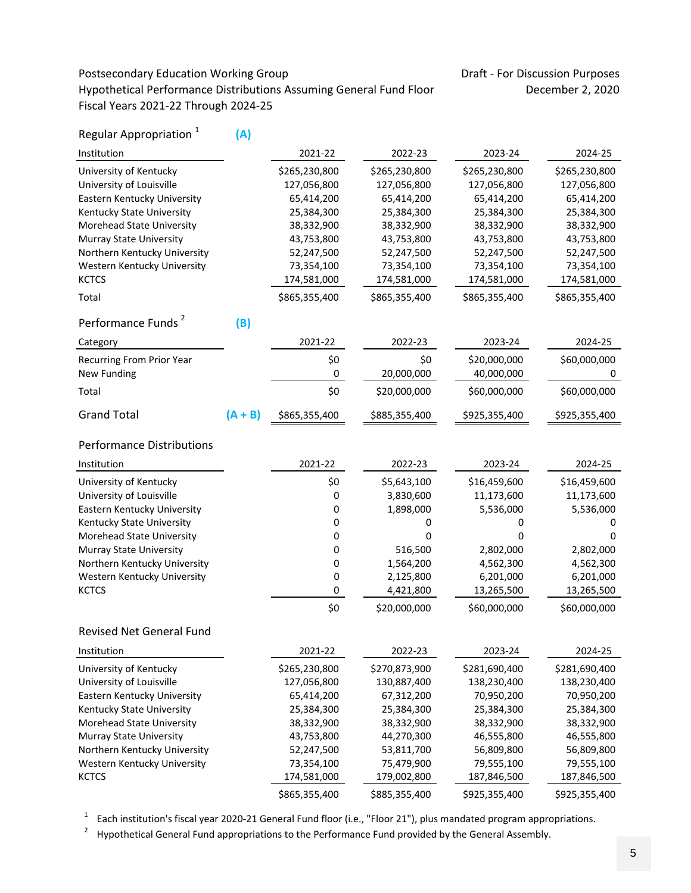## Postsecondary Education Working Group Draft - For Discussion Purposes Hypothetical Performance Distributions Assuming General Fund Floor December 2, 2020 Fiscal Years 2021‐22 Through 2024‐25

| Regular Appropriation <sup>1</sup> | (A)       |               |               |               |               |
|------------------------------------|-----------|---------------|---------------|---------------|---------------|
| Institution                        |           | 2021-22       | 2022-23       | 2023-24       | 2024-25       |
| University of Kentucky             |           | \$265,230,800 | \$265,230,800 | \$265,230,800 | \$265,230,800 |
| University of Louisville           |           | 127,056,800   | 127,056,800   | 127,056,800   | 127,056,800   |
| Eastern Kentucky University        |           | 65,414,200    | 65,414,200    | 65,414,200    | 65,414,200    |
| Kentucky State University          |           | 25,384,300    | 25,384,300    | 25,384,300    | 25,384,300    |
| Morehead State University          |           | 38,332,900    | 38,332,900    | 38,332,900    | 38,332,900    |
| <b>Murray State University</b>     |           | 43,753,800    | 43,753,800    | 43,753,800    | 43,753,800    |
| Northern Kentucky University       |           | 52,247,500    | 52,247,500    | 52,247,500    | 52,247,500    |
| Western Kentucky University        |           | 73,354,100    | 73,354,100    | 73,354,100    | 73,354,100    |
| <b>KCTCS</b>                       |           | 174,581,000   | 174,581,000   | 174,581,000   | 174,581,000   |
| Total                              |           | \$865,355,400 | \$865,355,400 | \$865,355,400 | \$865,355,400 |
| Performance Funds <sup>2</sup>     | (B)       |               |               |               |               |
|                                    |           | 2021-22       | 2022-23       | 2023-24       | 2024-25       |
| Category                           |           |               |               |               |               |
| <b>Recurring From Prior Year</b>   |           | \$0           | \$0           | \$20,000,000  | \$60,000,000  |
| New Funding                        |           | 0             | 20,000,000    | 40,000,000    | 0             |
| Total                              |           | \$0           | \$20,000,000  | \$60,000,000  | \$60,000,000  |
| <b>Grand Total</b>                 | $(A + B)$ | \$865,355,400 | \$885,355,400 | \$925,355,400 | \$925,355,400 |
| <b>Performance Distributions</b>   |           |               |               |               |               |
| Institution                        |           | 2021-22       | 2022-23       | 2023-24       | 2024-25       |
| University of Kentucky             |           | \$0           | \$5,643,100   | \$16,459,600  | \$16,459,600  |
| University of Louisville           |           | 0             | 3,830,600     | 11,173,600    | 11,173,600    |
| Eastern Kentucky University        |           | 0             | 1,898,000     | 5,536,000     | 5,536,000     |
| Kentucky State University          |           | 0             | 0             | 0             | 0             |
| Morehead State University          |           | 0             | 0             | 0             | 0             |
| <b>Murray State University</b>     |           | 0             | 516,500       | 2,802,000     | 2,802,000     |
| Northern Kentucky University       |           | 0             | 1,564,200     | 4,562,300     | 4,562,300     |
| Western Kentucky University        |           | 0             | 2,125,800     | 6,201,000     | 6,201,000     |
| <b>KCTCS</b>                       |           | 0             | 4,421,800     | 13,265,500    | 13,265,500    |
|                                    |           | \$0           | \$20,000,000  | \$60,000,000  | \$60,000,000  |
| <b>Revised Net General Fund</b>    |           |               |               |               |               |
| Institution                        |           | 2021-22       | 2022-23       | 2023-24       | 2024-25       |
| University of Kentucky             |           | \$265,230,800 | \$270,873,900 | \$281,690,400 | \$281,690,400 |
| University of Louisville           |           | 127,056,800   | 130,887,400   | 138,230,400   | 138,230,400   |
| Eastern Kentucky University        |           | 65,414,200    | 67,312,200    | 70,950,200    | 70,950,200    |
| Kentucky State University          |           | 25,384,300    | 25,384,300    | 25,384,300    | 25,384,300    |
| Morehead State University          |           | 38,332,900    | 38,332,900    | 38,332,900    | 38,332,900    |
| Murray State University            |           | 43,753,800    | 44,270,300    | 46,555,800    | 46,555,800    |
| Northern Kentucky University       |           | 52,247,500    | 53,811,700    | 56,809,800    | 56,809,800    |
| Western Kentucky University        |           | 73,354,100    | 75,479,900    | 79,555,100    | 79,555,100    |
| <b>KCTCS</b>                       |           | 174,581,000   | 179,002,800   | 187,846,500   | 187,846,500   |
|                                    |           | \$865,355,400 | \$885,355,400 | \$925,355,400 | \$925,355,400 |

 $1$  Each institution's fiscal year 2020-21 General Fund floor (i.e., "Floor 21"), plus mandated program appropriations.

<sup>2</sup> Hypothetical General Fund appropriations to the Performance Fund provided by the General Assembly.